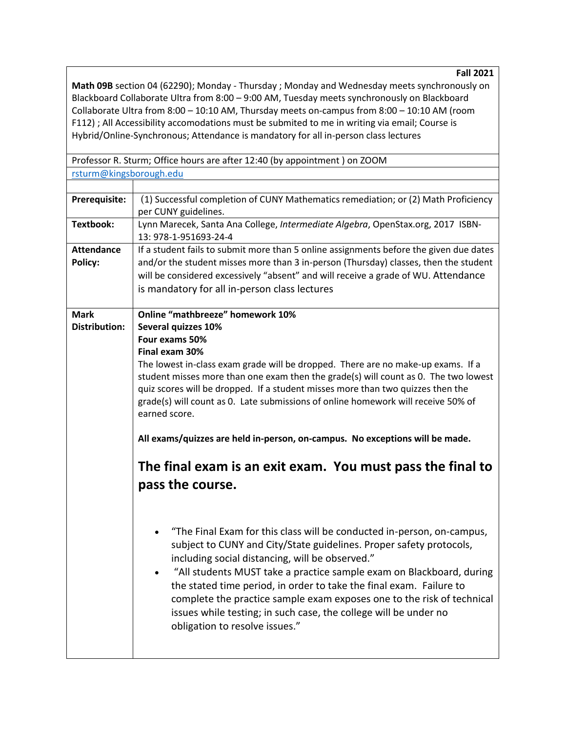**Fall 2021**

**Math 09B** section 04 (62290); Monday - Thursday ; Monday and Wednesday meets synchronously on Blackboard Collaborate Ultra from 8:00 – 9:00 AM, Tuesday meets synchronously on Blackboard Collaborate Ultra from 8:00 – 10:10 AM, Thursday meets on-campus from 8:00 – 10:10 AM (room F112) ; All Accessibility accomodations must be submited to me in writing via email; Course is Hybrid/Online-Synchronous; Attendance is mandatory for all in-person class lectures

Professor R. Sturm; Office hours are after 12:40 (by appointment ) on ZOOM [rsturm@kingsborough.edu](mailto:rsturm@kingsborough.edu)

| Prerequisite:                       | (1) Successful completion of CUNY Mathematics remediation; or (2) Math Proficiency<br>per CUNY guidelines.                                                                                                                                                                                                                                                                                                                                                                                                                      |  |  |
|-------------------------------------|---------------------------------------------------------------------------------------------------------------------------------------------------------------------------------------------------------------------------------------------------------------------------------------------------------------------------------------------------------------------------------------------------------------------------------------------------------------------------------------------------------------------------------|--|--|
| Textbook:                           | Lynn Marecek, Santa Ana College, Intermediate Algebra, OpenStax.org, 2017 ISBN-<br>13: 978-1-951693-24-4                                                                                                                                                                                                                                                                                                                                                                                                                        |  |  |
| <b>Attendance</b><br>Policy:        | If a student fails to submit more than 5 online assignments before the given due dates<br>and/or the student misses more than 3 in-person (Thursday) classes, then the student<br>will be considered excessively "absent" and will receive a grade of WU. Attendance<br>is mandatory for all in-person class lectures                                                                                                                                                                                                           |  |  |
| <b>Mark</b><br><b>Distribution:</b> | <b>Online "mathbreeze" homework 10%</b><br>Several quizzes 10%<br>Four exams 50%<br>Final exam 30%<br>The lowest in-class exam grade will be dropped. There are no make-up exams. If a<br>student misses more than one exam then the grade(s) will count as 0. The two lowest<br>quiz scores will be dropped. If a student misses more than two quizzes then the<br>grade(s) will count as 0. Late submissions of online homework will receive 50% of<br>earned score.                                                          |  |  |
|                                     | All exams/quizzes are held in-person, on-campus. No exceptions will be made.<br>The final exam is an exit exam. You must pass the final to<br>pass the course.                                                                                                                                                                                                                                                                                                                                                                  |  |  |
|                                     |                                                                                                                                                                                                                                                                                                                                                                                                                                                                                                                                 |  |  |
|                                     | "The Final Exam for this class will be conducted in-person, on-campus,<br>subject to CUNY and City/State guidelines. Proper safety protocols,<br>including social distancing, will be observed."<br>"All students MUST take a practice sample exam on Blackboard, during<br>the stated time period, in order to take the final exam. Failure to<br>complete the practice sample exam exposes one to the risk of technical<br>issues while testing; in such case, the college will be under no<br>obligation to resolve issues." |  |  |